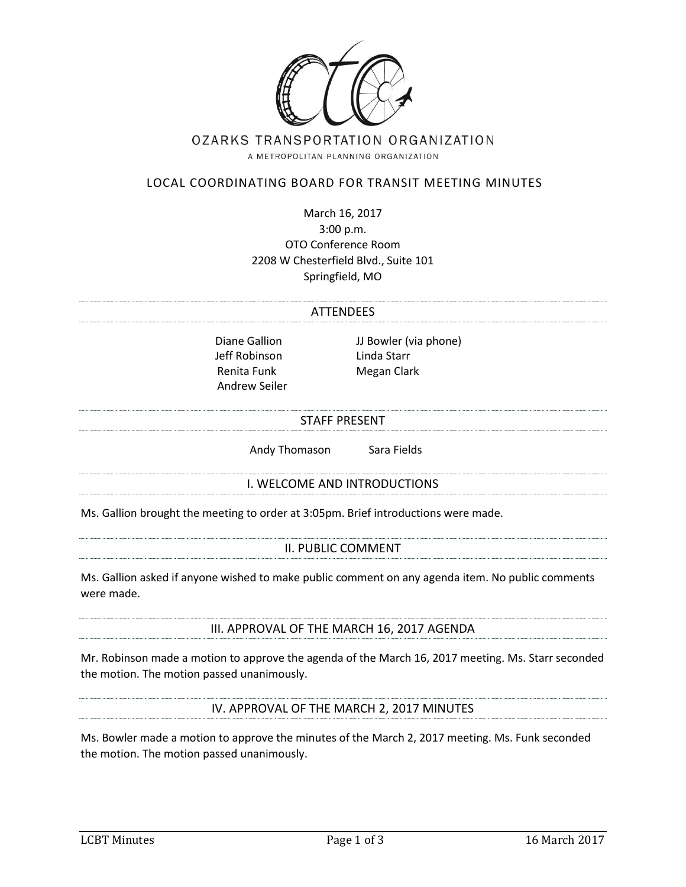

# OZARKS TRANSPORTATION ORGANIZATION

A METROPOLITAN PLANNING ORGANIZATION

# LOCAL COORDINATING BOARD FOR TRANSIT MEETING MINUTES

March 16, 2017 3:00 p.m. OTO Conference Room 2208 W Chesterfield Blvd., Suite 101 Springfield, MO

#### **ATTENDEES**

Jeff Robinson Linda Starr Renita Funk Megan Clark Andrew Seiler

Diane Gallion JJ Bowler (via phone)

#### STAFF PRESENT

Andy Thomason Sara Fields

## I. WELCOME AND INTRODUCTIONS

Ms. Gallion brought the meeting to order at 3:05pm. Brief introductions were made.

#### II. PUBLIC COMMENT

Ms. Gallion asked if anyone wished to make public comment on any agenda item. No public comments were made.

## III. APPROVAL OF THE MARCH 16, 2017 AGENDA

Mr. Robinson made a motion to approve the agenda of the March 16, 2017 meeting. Ms. Starr seconded the motion. The motion passed unanimously.

## IV. APPROVAL OF THE MARCH 2, 2017 MINUTES

Ms. Bowler made a motion to approve the minutes of the March 2, 2017 meeting. Ms. Funk seconded the motion. The motion passed unanimously.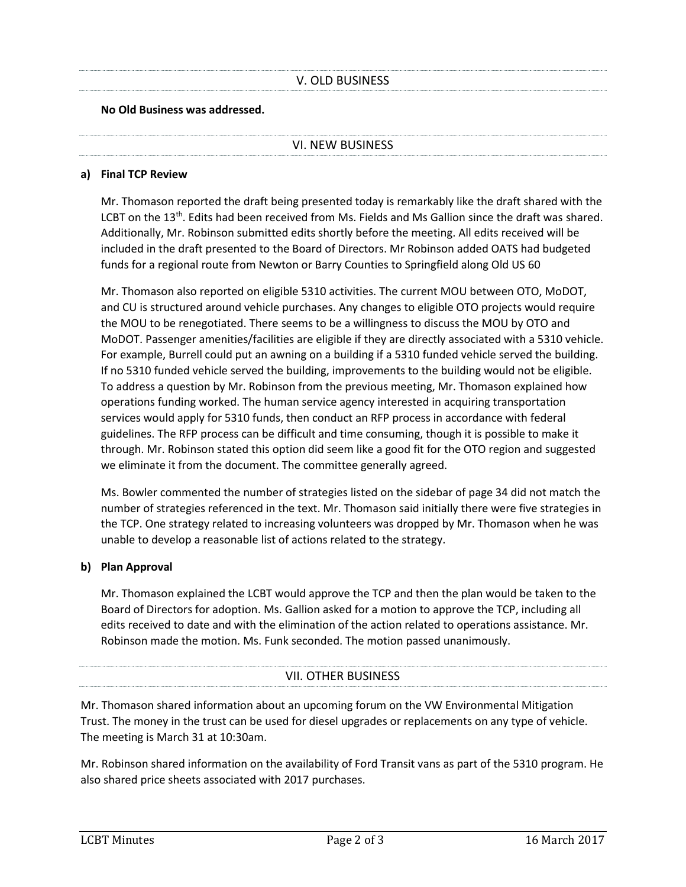# V. OLD BUSINESS

## **No Old Business was addressed.**

#### VI. NEW BUSINESS

## **a) Final TCP Review**

Mr. Thomason reported the draft being presented today is remarkably like the draft shared with the LCBT on the 13<sup>th</sup>. Edits had been received from Ms. Fields and Ms Gallion since the draft was shared. Additionally, Mr. Robinson submitted edits shortly before the meeting. All edits received will be included in the draft presented to the Board of Directors. Mr Robinson added OATS had budgeted funds for a regional route from Newton or Barry Counties to Springfield along Old US 60

Mr. Thomason also reported on eligible 5310 activities. The current MOU between OTO, MoDOT, and CU is structured around vehicle purchases. Any changes to eligible OTO projects would require the MOU to be renegotiated. There seems to be a willingness to discuss the MOU by OTO and MoDOT. Passenger amenities/facilities are eligible if they are directly associated with a 5310 vehicle. For example, Burrell could put an awning on a building if a 5310 funded vehicle served the building. If no 5310 funded vehicle served the building, improvements to the building would not be eligible. To address a question by Mr. Robinson from the previous meeting, Mr. Thomason explained how operations funding worked. The human service agency interested in acquiring transportation services would apply for 5310 funds, then conduct an RFP process in accordance with federal guidelines. The RFP process can be difficult and time consuming, though it is possible to make it through. Mr. Robinson stated this option did seem like a good fit for the OTO region and suggested we eliminate it from the document. The committee generally agreed.

Ms. Bowler commented the number of strategies listed on the sidebar of page 34 did not match the number of strategies referenced in the text. Mr. Thomason said initially there were five strategies in the TCP. One strategy related to increasing volunteers was dropped by Mr. Thomason when he was unable to develop a reasonable list of actions related to the strategy.

## **b) Plan Approval**

Mr. Thomason explained the LCBT would approve the TCP and then the plan would be taken to the Board of Directors for adoption. Ms. Gallion asked for a motion to approve the TCP, including all edits received to date and with the elimination of the action related to operations assistance. Mr. Robinson made the motion. Ms. Funk seconded. The motion passed unanimously.

# VII. OTHER BUSINESS

Mr. Thomason shared information about an upcoming forum on the VW Environmental Mitigation Trust. The money in the trust can be used for diesel upgrades or replacements on any type of vehicle. The meeting is March 31 at 10:30am.

Mr. Robinson shared information on the availability of Ford Transit vans as part of the 5310 program. He also shared price sheets associated with 2017 purchases.